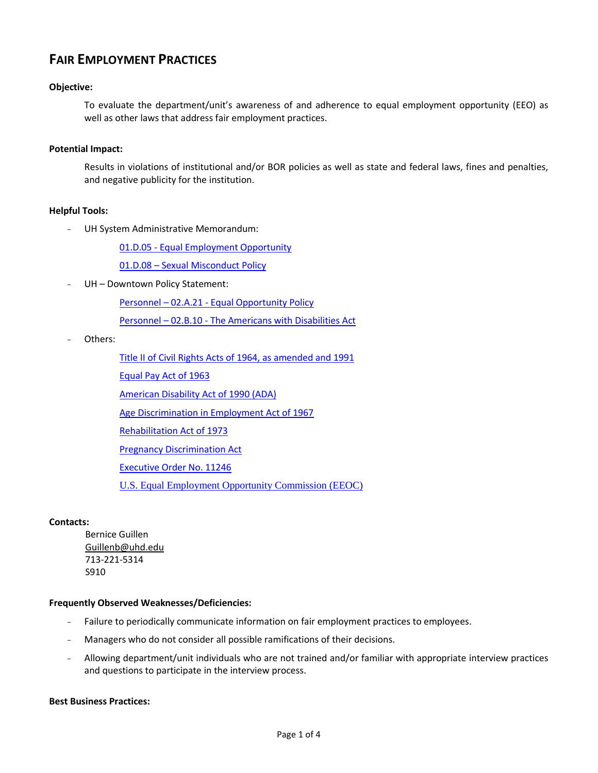# **FAIR EMPLOYMENT PRACTICES**

### **Objective:**

To evaluate the department/unit's awareness of and adherence to equal employment opportunity (EEO) as well as other laws that address fair employment practices.

#### **Potential Impact:**

Results in violations of institutional and/or BOR policies as well as state and federal laws, fines and penalties, and negative publicity for the institution.

#### **Helpful Tools:**

- UH System Administrative Memorandum:

01.D.05 - [Equal Employment Opportunity](http://www.uhsa.uh.edu/sam/1GenAdmin/1D5.pdf)

01.D.08 – Sexual Misconduct Policy

- UH – Downtown Policy Statement:

Personnel – 02.A.21 - [Equal Opportunity Policy](http://www.uhd.edu/about/hr/PS02A21.pdf)

Personnel – 02.B.10 - [The Americans with Disabilities Act](http://www.uhd.edu/about/hr/PS02B10.pdf)

- Others:
	- [Title II of Civil Rights Acts of 1964, as amended and 1991](http://www.eeoc.gov/policy/vii.html)

[Equal Pay Act of 1963](http://www.eeoc.gov/policy/epa.html) 

[American Disability Act of 1990 \(ADA\)](http://www.eeoc.gov/policy/ada.html)

Age Discrimination [in Employment Act of 1967](http://www.eeoc.gov/policy/adea.html)

[Rehabilitation Act of 1973](http://www.eeoc.gov/policy/rehab.html)

[Pregnancy Discrimination Act](http://www.eeoc.gov/facts/fs-preg.html)

[Executive Order No. 11246](http://www.eeoc.gov/abouteeoc/35th/thelaw/eo-11246.html)

[U.S. Equal Employment Opportunity Commission \(EEOC\)](http://www.eeoc.gov/)

#### **Contacts:**

Bernice Guillen [Guillenb@uhd.edu](mailto:Guillenb@uhd.edu) 713-221-5314 S910

#### **Frequently Observed Weaknesses/Deficiencies:**

- Failure to periodically communicate information on fair employment practices to employees.
- Managers who do not consider all possible ramifications of their decisions.
- Allowing department/unit individuals who are not trained and/or familiar with appropriate interview practices and questions to participate in the interview process.

#### **Best Business Practices:**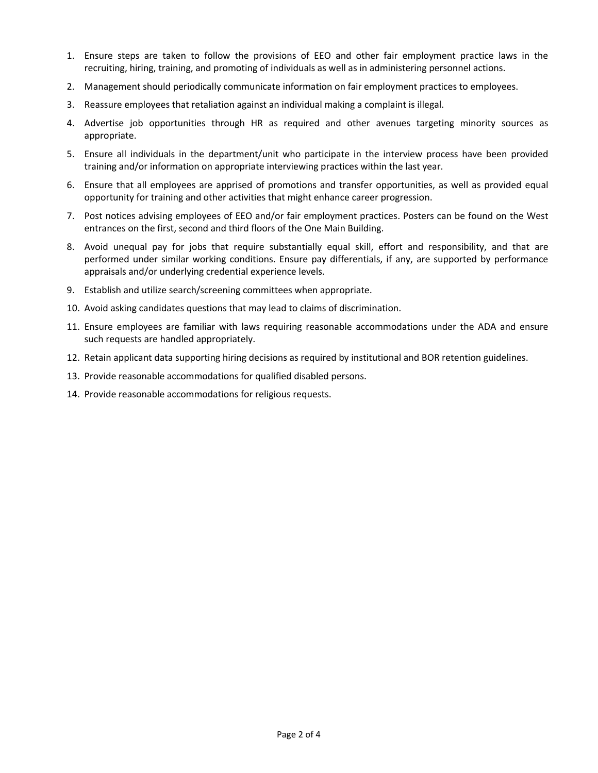- 1. Ensure steps are taken to follow the provisions of EEO and other fair employment practice laws in the recruiting, hiring, training, and promoting of individuals as well as in administering personnel actions.
- 2. Management should periodically communicate information on fair employment practices to employees.
- 3. Reassure employees that retaliation against an individual making a complaint is illegal.
- 4. Advertise job opportunities through HR as required and other avenues targeting minority sources as appropriate.
- 5. Ensure all individuals in the department/unit who participate in the interview process have been provided training and/or information on appropriate interviewing practices within the last year.
- 6. Ensure that all employees are apprised of promotions and transfer opportunities, as well as provided equal opportunity for training and other activities that might enhance career progression.
- 7. Post notices advising employees of EEO and/or fair employment practices. Posters can be found on the West entrances on the first, second and third floors of the One Main Building.
- 8. Avoid unequal pay for jobs that require substantially equal skill, effort and responsibility, and that are performed under similar working conditions. Ensure pay differentials, if any, are supported by performance appraisals and/or underlying credential experience levels.
- 9. Establish and utilize search/screening committees when appropriate.
- 10. Avoid asking candidates questions that may lead to claims of discrimination.
- 11. Ensure employees are familiar with laws requiring reasonable accommodations under the ADA and ensure such requests are handled appropriately.
- 12. Retain applicant data supporting hiring decisions as required by institutional and BOR retention guidelines.
- 13. Provide reasonable accommodations for qualified disabled persons.
- 14. Provide reasonable accommodations for religious requests.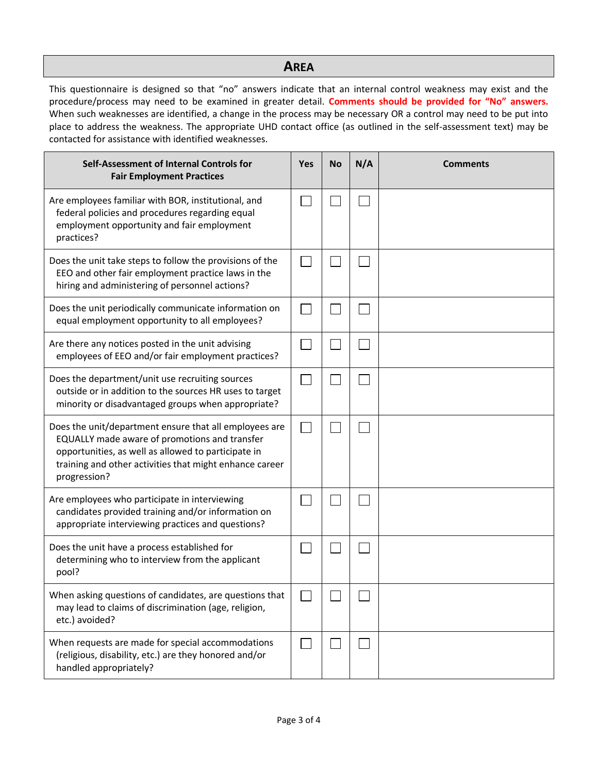## **AREA**

This questionnaire is designed so that "no" answers indicate that an internal control weakness may exist and the procedure/process may need to be examined in greater detail. **Comments should be provided for "No" answers.**  When such weaknesses are identified, a change in the process may be necessary OR a control may need to be put into place to address the weakness. The appropriate UHD contact office (as outlined in the self-assessment text) may be contacted for assistance with identified weaknesses.

| Self-Assessment of Internal Controls for<br><b>Fair Employment Practices</b>                                                                                                                                                              | Yes | No | N/A | <b>Comments</b> |
|-------------------------------------------------------------------------------------------------------------------------------------------------------------------------------------------------------------------------------------------|-----|----|-----|-----------------|
| Are employees familiar with BOR, institutional, and<br>federal policies and procedures regarding equal<br>employment opportunity and fair employment<br>practices?                                                                        |     |    |     |                 |
| Does the unit take steps to follow the provisions of the<br>EEO and other fair employment practice laws in the<br>hiring and administering of personnel actions?                                                                          |     |    |     |                 |
| Does the unit periodically communicate information on<br>equal employment opportunity to all employees?                                                                                                                                   |     |    |     |                 |
| Are there any notices posted in the unit advising<br>employees of EEO and/or fair employment practices?                                                                                                                                   |     |    |     |                 |
| Does the department/unit use recruiting sources<br>outside or in addition to the sources HR uses to target<br>minority or disadvantaged groups when appropriate?                                                                          |     |    |     |                 |
| Does the unit/department ensure that all employees are<br>EQUALLY made aware of promotions and transfer<br>opportunities, as well as allowed to participate in<br>training and other activities that might enhance career<br>progression? |     |    |     |                 |
| Are employees who participate in interviewing<br>candidates provided training and/or information on<br>appropriate interviewing practices and questions?                                                                                  |     |    |     |                 |
| Does the unit have a process established for<br>determining who to interview from the applicant<br>pool?                                                                                                                                  |     |    |     |                 |
| When asking questions of candidates, are questions that<br>may lead to claims of discrimination (age, religion,<br>etc.) avoided?                                                                                                         |     |    |     |                 |
| When requests are made for special accommodations<br>(religious, disability, etc.) are they honored and/or<br>handled appropriately?                                                                                                      |     |    |     |                 |